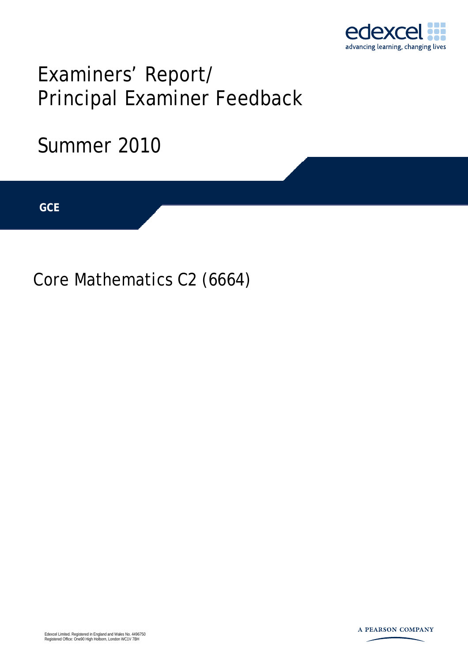

# Examiners' Report/ Principal Examiner Feedback

## Summer 2010

**IGCSE GCE** 

Core Mathematics C2 (6664)

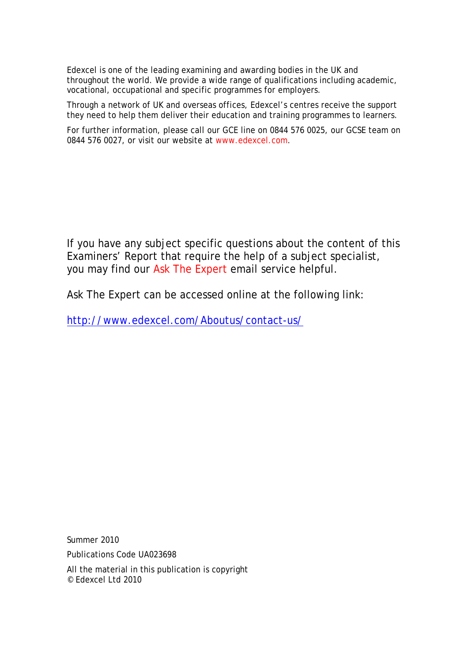Edexcel is one of the leading examining and awarding bodies in the UK and throughout the world. We provide a wide range of qualifications including academic, vocational, occupational and specific programmes for employers.

Through a network of UK and overseas offices, Edexcel's centres receive the support they need to help them deliver their education and training programmes to learners.

For further information, please call our GCE line on 0844 576 0025, our GCSE team on 0844 576 0027, or visit our website at www.edexcel.com.

If you have any subject specific questions about the content of this Examiners' Report that require the help of a subject specialist, you may find our Ask The Expert email service helpful.

Ask The Expert can be accessed online at the following link:

http://www.edexcel.com/Aboutus/contact-us/

Summer 2010

Publications Code UA023698

All the material in this publication is copyright © Edexcel Ltd 2010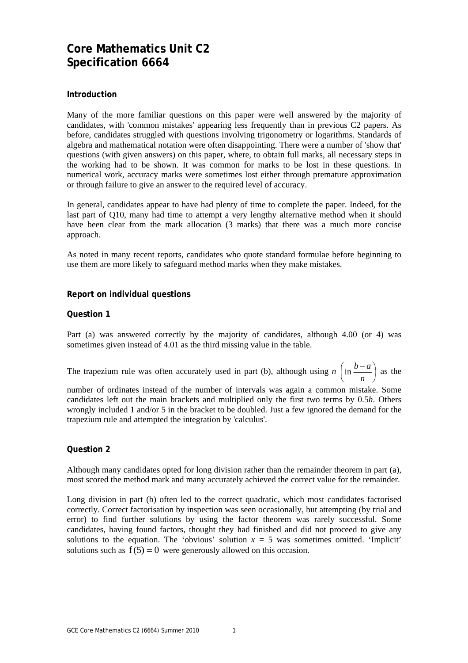### **Core Mathematics Unit C2 Specification 6664**

#### **Introduction**

Many of the more familiar questions on this paper were well answered by the majority of candidates, with 'common mistakes' appearing less frequently than in previous C2 papers. As before, candidates struggled with questions involving trigonometry or logarithms. Standards of algebra and mathematical notation were often disappointing. There were a number of 'show that' questions (with given answers) on this paper, where, to obtain full marks, all necessary steps in the working had to be shown. It was common for marks to be lost in these questions. In numerical work, accuracy marks were sometimes lost either through premature approximation or through failure to give an answer to the required level of accuracy.

In general, candidates appear to have had plenty of time to complete the paper. Indeed, for the last part of Q10, many had time to attempt a very lengthy alternative method when it should have been clear from the mark allocation (3 marks) that there was a much more concise approach.

As noted in many recent reports, candidates who quote standard formulae before beginning to use them are more likely to safeguard method marks when they make mistakes.

#### **Report on individual questions**

#### **Question 1**

Part (a) was answered correctly by the majority of candidates, although 4.00 (or 4) was sometimes given instead of 4.01 as the third missing value in the table.

The trapezium rule was often accurately used in part (b), although using  $n \mid in \frac{b-a}{a} \mid$ ⎠  $\left(\sin \frac{b-a}{a}\right)$ ⎝  $\int_{\mathbb{R}^n} b$ *n*  $\left(\sin \frac{b-a}{a}\right)$  as the

number of ordinates instead of the number of intervals was again a common mistake. Some candidates left out the main brackets and multiplied only the first two terms by 0.5*h*. Others wrongly included 1 and/or 5 in the bracket to be doubled. Just a few ignored the demand for the trapezium rule and attempted the integration by 'calculus'.

#### **Question 2**

Although many candidates opted for long division rather than the remainder theorem in part (a), most scored the method mark and many accurately achieved the correct value for the remainder.

Long division in part (b) often led to the correct quadratic, which most candidates factorised correctly. Correct factorisation by inspection was seen occasionally, but attempting (by trial and error) to find further solutions by using the factor theorem was rarely successful. Some candidates, having found factors, thought they had finished and did not proceed to give any solutions to the equation. The 'obvious' solution  $x = 5$  was sometimes omitted. 'Implicit' solutions such as  $f(5) = 0$  were generously allowed on this occasion.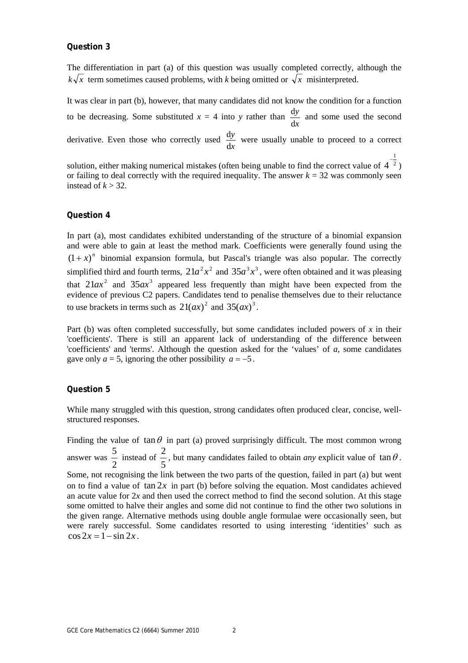#### **Question 3**

The differentiation in part (a) of this question was usually completed correctly, although the  $k\sqrt{x}$  term sometimes caused problems, with *k* being omitted or  $\sqrt{x}$  misinterpreted.

It was clear in part (b), however, that many candidates did not know the condition for a function to be decreasing. Some substituted  $x = 4$  into y rather than *x y* d  $\frac{dy}{dx}$  and some used the second derivative. Even those who correctly used *x y* d  $\frac{dy}{dx}$  were usually unable to proceed to a correct 1

solution, either making numerical mistakes (often being unable to find the correct value of  $4^{-2}$  $4^{-\frac{1}{2}}$ or failing to deal correctly with the required inequality. The answer  $k = 32$  was commonly seen instead of  $k > 32$ .

#### **Question 4**

In part (a), most candidates exhibited understanding of the structure of a binomial expansion and were able to gain at least the method mark. Coefficients were generally found using the  $(1+x)^n$  binomial expansion formula, but Pascal's triangle was also popular. The correctly simplified third and fourth terms,  $21a^2x^2$  and  $35a^3x^3$ , were often obtained and it was pleasing that  $21ax^2$  and  $35ax^3$  appeared less frequently than might have been expected from the evidence of previous C2 papers. Candidates tend to penalise themselves due to their reluctance to use brackets in terms such as  $21(ax)^2$  and  $35(ax)^3$ .

Part (b) was often completed successfully, but some candidates included powers of *x* in their 'coefficients'. There is still an apparent lack of understanding of the difference between 'coefficients' and 'terms'. Although the question asked for the 'values' of *a*, some candidates gave only  $a = 5$ , ignoring the other possibility  $a = -5$ .

#### **Question 5**

While many struggled with this question, strong candidates often produced clear, concise, wellstructured responses.

Finding the value of tan  $\theta$  in part (a) proved surprisingly difficult. The most common wrong answer was 2  $\frac{5}{2}$  instead of 5  $\frac{2}{5}$ , but many candidates failed to obtain *any* explicit value of  $\tan \theta$ . Some, not recognising the link between the two parts of the question, failed in part (a) but went on to find a value of  $\tan 2x$  in part (b) before solving the equation. Most candidates achieved an acute value for  $2x$  and then used the correct method to find the second solution. At this stage some omitted to halve their angles and some did not continue to find the other two solutions in the given range. Alternative methods using double angle formulae were occasionally seen, but were rarely successful. Some candidates resorted to using interesting 'identities' such as  $\cos 2x = 1 - \sin 2x$ .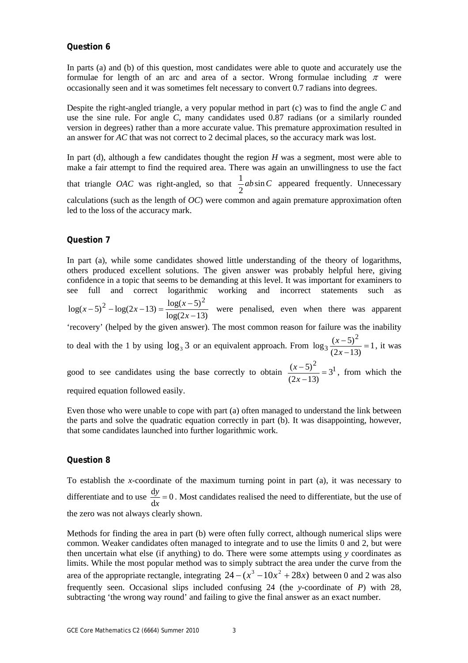#### **Question 6**

In parts (a) and (b) of this question, most candidates were able to quote and accurately use the formulae for length of an arc and area of a sector. Wrong formulae including  $\pi$  were occasionally seen and it was sometimes felt necessary to convert 0.7 radians into degrees.

Despite the right-angled triangle, a very popular method in part (c) was to find the angle *C* and use the sine rule. For angle *C*, many candidates used 0.87 radians (or a similarly rounded version in degrees) rather than a more accurate value. This premature approximation resulted in an answer for *AC* that was not correct to 2 decimal places, so the accuracy mark was lost.

In part (d), although a few candidates thought the region *H* was a segment, most were able to make a fair attempt to find the required area. There was again an unwillingness to use the fact that triangle *OAC* was right-angled, so that  $\frac{1}{a}ab\sin C$ 2  $\frac{1}{2}$  *ab* sin *C* appeared frequently. Unnecessary calculations (such as the length of *OC*) were common and again premature approximation often led to the loss of the accuracy mark.

#### **Question 7**

In part (a), while some candidates showed little understanding of the theory of logarithms, others produced excellent solutions. The given answer was probably helpful here, giving confidence in a topic that seems to be demanding at this level. It was important for examiners to see full and correct logarithmic working and incorrect statements such as  $log(2x-13)$  $\log(x-5)^2 - \log(2x-13) = \frac{\log(x-5)^2}{2}$  $(x-5)^2 - \log(2x-13) = \frac{\log(x-5)^2}{\log(2x-13)}$  were penalised, even when there was apparent 'recovery' (helped by the given answer). The most common reason for failure was the inability to deal with the 1 by using  $\log_3 3$  or an equivalent approach. From  $\log_3 \frac{(x-3)}{(2x-13)} = 1$  $\log_3 \frac{(x-5)^2}{(x-1)^2}$  $\frac{(x-5)^2}{(2x-13)} =$ *x*  $\frac{x-5^2}{(x-1)^2} = 1$ , it was good to see candidates using the base correctly to obtain  $\frac{(x-5)^2}{(x-5)^2} = 3^1$ 3  $\frac{(x-5)^2}{(2x-13)} =$ *x*  $\frac{(x-5)^2}{(x-5)^2}$  = 3<sup>1</sup>, from which the

required equation followed easily.

Even those who were unable to cope with part (a) often managed to understand the link between the parts and solve the quadratic equation correctly in part (b). It was disappointing, however, that some candidates launched into further logarithmic work.

#### **Question 8**

To establish the *x-*coordinate of the maximum turning point in part (a), it was necessary to differentiate and to use  $\frac{dy}{dx} = 0$  $\frac{dy}{dx} = 0$ . Most candidates realised the need to differentiate, but the use of the zero was not always clearly shown.

Methods for finding the area in part (b) were often fully correct, although numerical slips were common. Weaker candidates often managed to integrate and to use the limits 0 and 2, but were then uncertain what else (if anything) to do. There were some attempts using *y* coordinates as limits. While the most popular method was to simply subtract the area under the curve from the area of the appropriate rectangle, integrating  $24 - (x^3 - 10x^2 + 28x)$  between 0 and 2 was also frequently seen. Occasional slips included confusing 24 (the *y*-coordinate of *P*) with 28, subtracting 'the wrong way round' and failing to give the final answer as an exact number.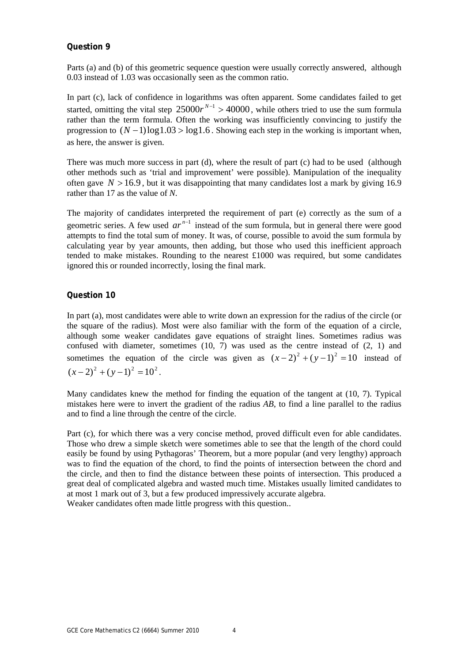#### **Question 9**

Parts (a) and (b) of this geometric sequence question were usually correctly answered, although 0.03 instead of 1.03 was occasionally seen as the common ratio.

In part (c), lack of confidence in logarithms was often apparent. Some candidates failed to get started, omitting the vital step  $25000r^{N-1} > 40000$ , while others tried to use the sum formula rather than the term formula. Often the working was insufficiently convincing to justify the progression to  $(N-1)\log 1.03 > \log 1.6$ . Showing each step in the working is important when, as here, the answer is given.

There was much more success in part (d), where the result of part (c) had to be used (although other methods such as 'trial and improvement' were possible). Manipulation of the inequality often gave  $N > 16.9$ , but it was disappointing that many candidates lost a mark by giving 16.9 rather than 17 as the value of *N*.

The majority of candidates interpreted the requirement of part (e) correctly as the sum of a geometric series. A few used  $ar^{n-1}$  instead of the sum formula, but in general there were good attempts to find the total sum of money. It was, of course, possible to avoid the sum formula by calculating year by year amounts, then adding, but those who used this inefficient approach tended to make mistakes. Rounding to the nearest  $\pounds1000$  was required, but some candidates ignored this or rounded incorrectly, losing the final mark.

#### **Question 10**

In part (a), most candidates were able to write down an expression for the radius of the circle (or the square of the radius). Most were also familiar with the form of the equation of a circle, although some weaker candidates gave equations of straight lines. Sometimes radius was confused with diameter, sometimes  $(10, 7)$  was used as the centre instead of  $(2, 1)$  and sometimes the equation of the circle was given as  $(x-2)^2 + (y-1)^2 = 10$  instead of  $(x-2)^2 + (y-1)^2 = 10^2$ .

Many candidates knew the method for finding the equation of the tangent at (10, 7). Typical mistakes here were to invert the gradient of the radius *AB*, to find a line parallel to the radius and to find a line through the centre of the circle.

Part (c), for which there was a very concise method, proved difficult even for able candidates. Those who drew a simple sketch were sometimes able to see that the length of the chord could easily be found by using Pythagoras' Theorem, but a more popular (and very lengthy) approach was to find the equation of the chord, to find the points of intersection between the chord and the circle, and then to find the distance between these points of intersection. This produced a great deal of complicated algebra and wasted much time. Mistakes usually limited candidates to at most 1 mark out of 3, but a few produced impressively accurate algebra.

Weaker candidates often made little progress with this question..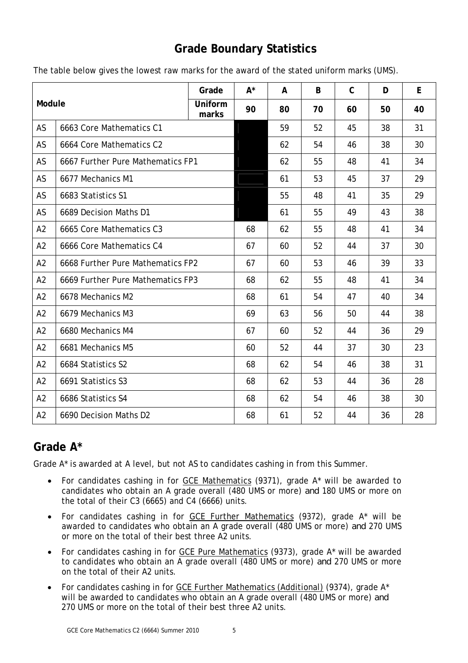## **Grade Boundary Statistics**

| Module         |                                   | Grade            | $A^*$ | A  | B  | $\mathsf{C}$ | D  | E  |
|----------------|-----------------------------------|------------------|-------|----|----|--------------|----|----|
|                |                                   | Uniform<br>marks | 90    | 80 | 70 | 60           | 50 | 40 |
| AS             | 6663 Core Mathematics C1          |                  |       | 59 | 52 | 45           | 38 | 31 |
| AS             | 6664 Core Mathematics C2          |                  |       | 62 | 54 | 46           | 38 | 30 |
| AS             | 6667 Further Pure Mathematics FP1 |                  |       | 62 | 55 | 48           | 41 | 34 |
| AS             | 6677 Mechanics M1                 |                  |       | 61 | 53 | 45           | 37 | 29 |
| AS             | 6683 Statistics S1                |                  |       | 55 | 48 | 41           | 35 | 29 |
| AS             | 6689 Decision Maths D1            |                  |       | 61 | 55 | 49           | 43 | 38 |
| A2             | 6665 Core Mathematics C3          |                  | 68    | 62 | 55 | 48           | 41 | 34 |
| A2             | 6666 Core Mathematics C4          |                  | 67    | 60 | 52 | 44           | 37 | 30 |
| A2             | 6668 Further Pure Mathematics FP2 |                  | 67    | 60 | 53 | 46           | 39 | 33 |
| A2             | 6669 Further Pure Mathematics FP3 |                  | 68    | 62 | 55 | 48           | 41 | 34 |
| A <sub>2</sub> | 6678 Mechanics M2                 |                  | 68    | 61 | 54 | 47           | 40 | 34 |
| A2             | 6679 Mechanics M3                 |                  | 69    | 63 | 56 | 50           | 44 | 38 |
| A2             | 6680 Mechanics M4                 |                  | 67    | 60 | 52 | 44           | 36 | 29 |
| A2             | 6681 Mechanics M5                 |                  | 60    | 52 | 44 | 37           | 30 | 23 |
| A2             | 6684 Statistics S2                |                  | 68    | 62 | 54 | 46           | 38 | 31 |
| A2             | 6691 Statistics S3                |                  | 68    | 62 | 53 | 44           | 36 | 28 |
| A2             | 6686 Statistics S4                |                  | 68    | 62 | 54 | 46           | 38 | 30 |
| A2             | 6690 Decision Maths D2            |                  | 68    | 61 | 52 | 44           | 36 | 28 |

The table below gives the lowest raw marks for the award of the stated uniform marks (UMS).

## **Grade A\***

Grade A\* is awarded at A level, but not AS to candidates cashing in from this Summer.

- For candidates cashing in for GCE Mathematics (9371), grade A\* will be awarded to candidates who obtain an A grade overall (480 UMS or more) *and* 180 UMS or more on the total of their C3 (6665) and C4 (6666) units.
- For candidates cashing in for GCE Further Mathematics (9372), grade A\* will be awarded to candidates who obtain an A grade overall (480 UMS or more) *and* 270 UMS or more on the total of their best three A2 units.
- For candidates cashing in for GCE Pure Mathematics (9373), grade A\* will be awarded to candidates who obtain an A grade overall (480 UMS or more) *and* 270 UMS or more on the total of their A2 units.
- For candidates cashing in for GCE Further Mathematics (Additional) (9374), grade A\* will be awarded to candidates who obtain an A grade overall (480 UMS or more) *and*  270 UMS or more on the total of their best three A2 units.